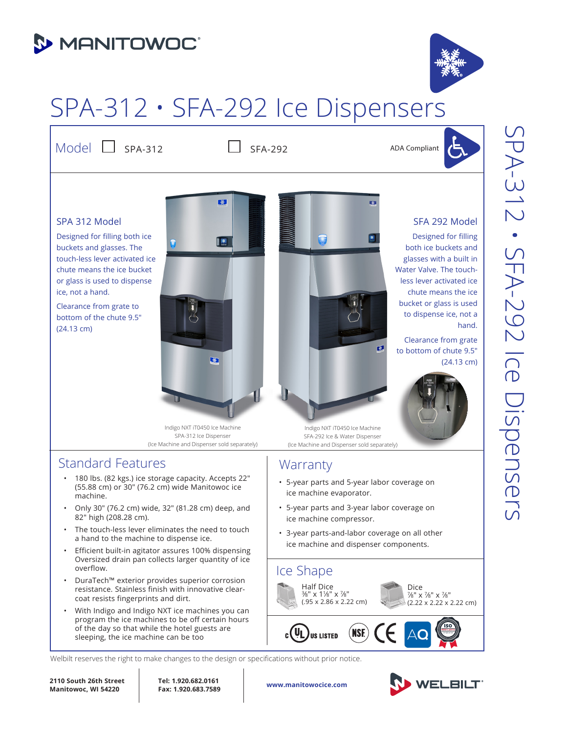## **3 MANITOWOC**

# SPA-312 • SFA-292 Ice Dispensers

Model  $\Box$  SPA-312  $\Box$  SFA-292

ADA Compliant

SFA 292 Model Designed for filling both ice buckets and glasses with a built in Water Valve. The touchless lever activated ice chute means the ice bucket or glass is used to dispense ice, not a

Clearance from grate to bottom of chute 9.5"

hand.

(24.13 cm)

### SPA 312 Model

Designed for filling both ice buckets and glasses. The touch-less lever activated ice chute means the ice bucket or glass is used to dispense ice, not a hand.

Clearance from grate to bottom of the chute 9.5" (24.13 cm)



Indigo NXT iT0450 Ice Machine SPA-312 Ice Dispenser (Ice Machine and Dispenser sold separately)

## Standard Features

- 180 lbs. (82 kgs.) ice storage capacity. Accepts 22" (55.88 cm) or 30" (76.2 cm) wide Manitowoc ice machine.
- Only 30" (76.2 cm) wide, 32" (81.28 cm) deep, and 82" high (208.28 cm).
- The touch-less lever eliminates the need to touch a hand to the machine to dispense ice.
- Efficient built-in agitator assures 100% dispensing Oversized drain pan collects larger quantity of ice overflow.
- DuraTech™ exterior provides superior corrosion resistance. Stainless finish with innovative clearcoat resists fingerprints and dirt.
- With Indigo and Indigo NXT ice machines you can program the ice machines to be off certain hours of the day so that while the hotel guests are sleeping, the ice machine can be too

Indigo NXT iT0450 Ice Machine SFA-292 Ice & Water Dispenser (Ice Machine and Dispenser sold separately)

## Warranty

• 5-year parts and 5-year labor coverage on ice machine evaporator.

两

- 5-year parts and 3-year labor coverage on ice machine compressor.
- 3-year parts-and-labor coverage on all other ice machine and dispenser components.



Welbilt reserves the right to make changes to the design or specifications without prior notice.

**2110 South 26th Street Manitowoc, WI 54220**

**Tel: 1.920.682.0161 Fax: 1.920.683.7589**

**www.manitowocice.com**



SPA-312 • SFA-292 Ice Dispensers SPA-312 · SFA-292 Ice Dispensers